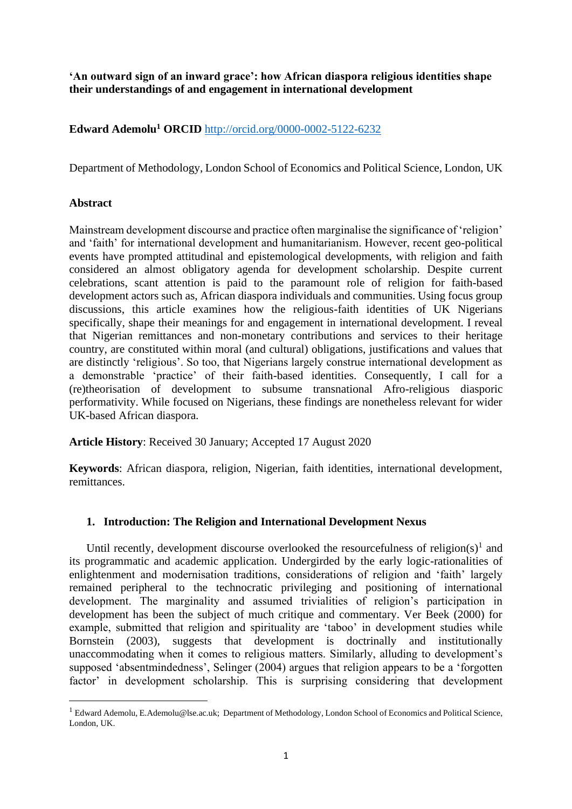**'An outward sign of an inward grace': how African diaspora religious identities shape their understandings of and engagement in international development**

**Edward Ademolu<sup>1</sup> ORCID** <http://orcid.org/0000-0002-5122-6232>

Department of Methodology, London School of Economics and Political Science, London, UK

## **Abstract**

Mainstream development discourse and practice often marginalise the significance of 'religion' and 'faith' for international development and humanitarianism. However, recent geo-political events have prompted attitudinal and epistemological developments, with religion and faith considered an almost obligatory agenda for development scholarship. Despite current celebrations, scant attention is paid to the paramount role of religion for faith-based development actors such as, African diaspora individuals and communities. Using focus group discussions, this article examines how the religious-faith identities of UK Nigerians specifically, shape their meanings for and engagement in international development. I reveal that Nigerian remittances and non-monetary contributions and services to their heritage country, are constituted within moral (and cultural) obligations, justifications and values that are distinctly 'religious'. So too, that Nigerians largely construe international development as a demonstrable 'practice' of their faith-based identities. Consequently, I call for a (re)theorisation of development to subsume transnational Afro-religious diasporic performativity. While focused on Nigerians, these findings are nonetheless relevant for wider UK-based African diaspora.

**Article History**: Received 30 January; Accepted 17 August 2020

**Keywords**: African diaspora, religion, Nigerian, faith identities, international development, remittances.

# **1. Introduction: The Religion and International Development Nexus**

Until recently, development discourse overlooked the resourcefulness of religion(s)<sup>1</sup> and its programmatic and academic application. Undergirded by the early logic-rationalities of enlightenment and modernisation traditions, considerations of religion and 'faith' largely remained peripheral to the technocratic privileging and positioning of international development. The marginality and assumed trivialities of religion's participation in development has been the subject of much critique and commentary. Ver Beek (2000) for example, submitted that religion and spirituality are 'taboo' in development studies while Bornstein (2003), suggests that development is doctrinally and institutionally unaccommodating when it comes to religious matters. Similarly, alluding to development's supposed 'absentmindedness', Selinger (2004) argues that religion appears to be a 'forgotten factor' in development scholarship. This is surprising considering that development

<sup>&</sup>lt;sup>1</sup> Edward Ademolu, E.Ademolu@lse.ac.uk; Department of Methodology, London School of Economics and Political Science, London, UK.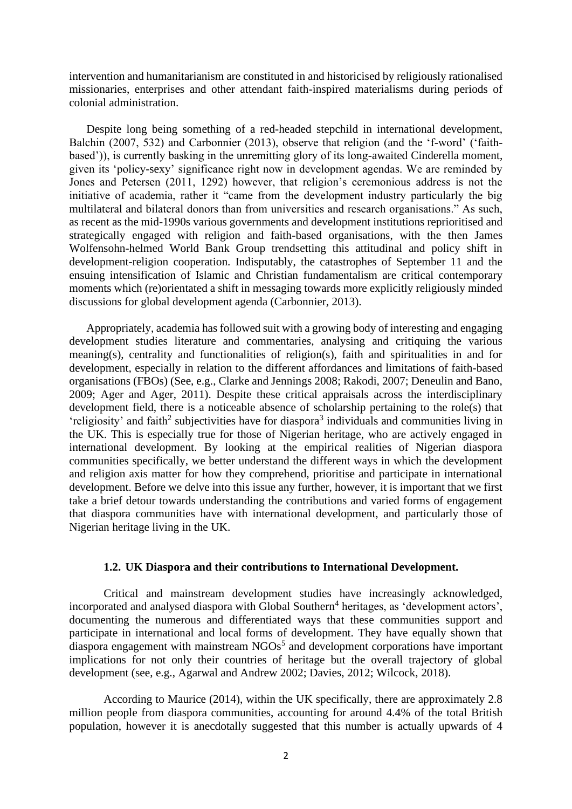intervention and humanitarianism are constituted in and historicised by religiously rationalised missionaries, enterprises and other attendant faith-inspired materialisms during periods of colonial administration.

Despite long being something of a red-headed stepchild in international development, Balchin (2007, 532) and Carbonnier (2013), observe that religion (and the 'f-word' ('faithbased')), is currently basking in the unremitting glory of its long-awaited Cinderella moment, given its 'policy-sexy' significance right now in development agendas. We are reminded by Jones and Petersen (2011, 1292) however, that religion's ceremonious address is not the initiative of academia, rather it "came from the development industry particularly the big multilateral and bilateral donors than from universities and research organisations." As such, as recent as the mid-1990s various governments and development institutions reprioritised and strategically engaged with religion and faith-based organisations, with the then James Wolfensohn-helmed World Bank Group trendsetting this attitudinal and policy shift in development-religion cooperation. Indisputably, the catastrophes of September 11 and the ensuing intensification of Islamic and Christian fundamentalism are critical contemporary moments which (re)orientated a shift in messaging towards more explicitly religiously minded discussions for global development agenda (Carbonnier, 2013).

Appropriately, academia has followed suit with a growing body of interesting and engaging development studies literature and commentaries, analysing and critiquing the various meaning(s), centrality and functionalities of religion(s), faith and spiritualities in and for development, especially in relation to the different affordances and limitations of faith-based organisations (FBOs) (See, e.g., Clarke and Jennings 2008; Rakodi, 2007; Deneulin and Bano, 2009; Ager and Ager, 2011). Despite these critical appraisals across the interdisciplinary development field, there is a noticeable absence of scholarship pertaining to the role(s) that 'religiosity' and faith<sup>2</sup> subjectivities have for diaspora<sup>3</sup> individuals and communities living in the UK. This is especially true for those of Nigerian heritage, who are actively engaged in international development. By looking at the empirical realities of Nigerian diaspora communities specifically, we better understand the different ways in which the development and religion axis matter for how they comprehend, prioritise and participate in international development. Before we delve into this issue any further, however, it is important that we first take a brief detour towards understanding the contributions and varied forms of engagement that diaspora communities have with international development, and particularly those of Nigerian heritage living in the UK.

### **1.2. UK Diaspora and their contributions to International Development.**

Critical and mainstream development studies have increasingly acknowledged, incorporated and analysed diaspora with Global Southern<sup>4</sup> heritages, as 'development actors', documenting the numerous and differentiated ways that these communities support and participate in international and local forms of development. They have equally shown that diaspora engagement with mainstream  $NGOs<sup>5</sup>$  and development corporations have important implications for not only their countries of heritage but the overall trajectory of global development (see, e.g., Agarwal and Andrew 2002; Davies, 2012; Wilcock, 2018).

According to Maurice (2014), within the UK specifically, there are approximately 2.8 million people from diaspora communities, accounting for around 4.4% of the total British population, however it is anecdotally suggested that this number is actually upwards of 4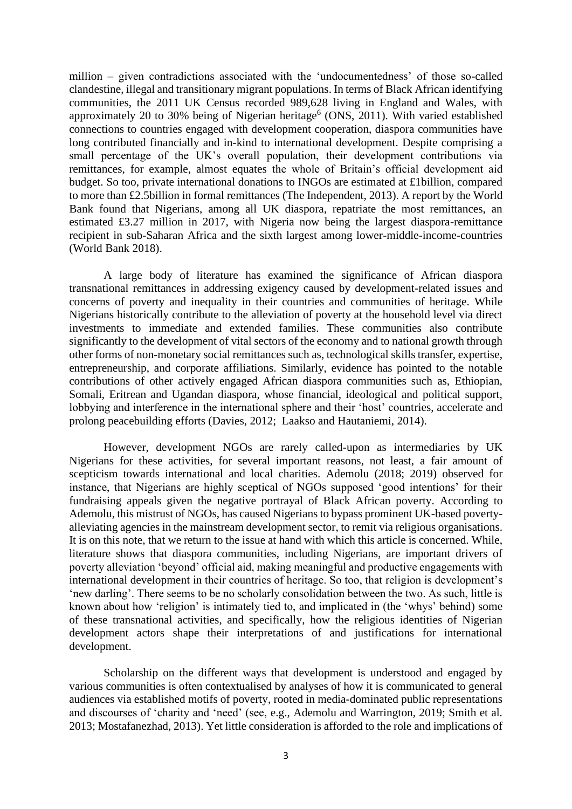million – given contradictions associated with the 'undocumentedness' of those so-called clandestine, illegal and transitionary migrant populations. In terms of Black African identifying communities, the 2011 UK Census recorded 989,628 living in England and Wales, with approximately 20 to 30% being of Nigerian heritage<sup>6</sup> (ONS, 2011). With varied established connections to countries engaged with development cooperation, diaspora communities have long contributed financially and in-kind to international development. Despite comprising a small percentage of the UK's overall population, their development contributions via remittances, for example, almost equates the whole of Britain's official development aid budget. So too, private international donations to INGOs are estimated at £1billion, compared to more than £2.5billion in formal remittances (The Independent, 2013). A report by the World Bank found that Nigerians, among all UK diaspora, repatriate the most remittances, an estimated £3.27 million in 2017, with Nigeria now being the largest diaspora-remittance recipient in sub-Saharan Africa and the sixth largest among lower-middle-income-countries (World Bank 2018).

A large body of literature has examined the significance of African diaspora transnational remittances in addressing exigency caused by development-related issues and concerns of poverty and inequality in their countries and communities of heritage. While Nigerians historically contribute to the alleviation of poverty at the household level via direct investments to immediate and extended families. These communities also contribute significantly to the development of vital sectors of the economy and to national growth through other forms of non-monetary social remittances such as, technological skills transfer, expertise, entrepreneurship, and corporate affiliations. Similarly, evidence has pointed to the notable contributions of other actively engaged African diaspora communities such as, Ethiopian, Somali, Eritrean and Ugandan diaspora, whose financial, ideological and political support, lobbying and interference in the international sphere and their 'host' countries, accelerate and prolong peacebuilding efforts (Davies, 2012; Laakso and Hautaniemi, 2014).

However, development NGOs are rarely called-upon as intermediaries by UK Nigerians for these activities, for several important reasons, not least, a fair amount of scepticism towards international and local charities. Ademolu (2018; 2019) observed for instance, that Nigerians are highly sceptical of NGOs supposed 'good intentions' for their fundraising appeals given the negative portrayal of Black African poverty. According to Ademolu, this mistrust of NGOs, has caused Nigerians to bypass prominent UK-based povertyalleviating agencies in the mainstream development sector, to remit via religious organisations. It is on this note, that we return to the issue at hand with which this article is concerned. While, literature shows that diaspora communities, including Nigerians, are important drivers of poverty alleviation 'beyond' official aid, making meaningful and productive engagements with international development in their countries of heritage. So too, that religion is development's 'new darling'. There seems to be no scholarly consolidation between the two. As such, little is known about how 'religion' is intimately tied to, and implicated in (the 'whys' behind) some of these transnational activities, and specifically, how the religious identities of Nigerian development actors shape their interpretations of and justifications for international development.

Scholarship on the different ways that development is understood and engaged by various communities is often contextualised by analyses of how it is communicated to general audiences via established motifs of poverty, rooted in media-dominated public representations and discourses of 'charity and 'need' (see, e.g., Ademolu and Warrington, 2019; Smith et al. 2013; Mostafanezhad, 2013). Yet little consideration is afforded to the role and implications of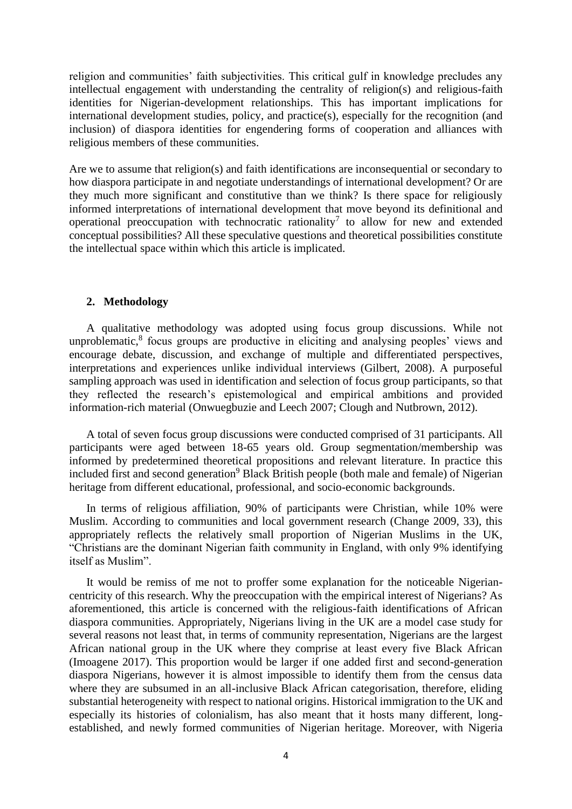religion and communities' faith subjectivities. This critical gulf in knowledge precludes any intellectual engagement with understanding the centrality of religion(s) and religious-faith identities for Nigerian-development relationships. This has important implications for international development studies, policy, and practice(s), especially for the recognition (and inclusion) of diaspora identities for engendering forms of cooperation and alliances with religious members of these communities.

Are we to assume that religion(s) and faith identifications are inconsequential or secondary to how diaspora participate in and negotiate understandings of international development? Or are they much more significant and constitutive than we think? Is there space for religiously informed interpretations of international development that move beyond its definitional and operational preoccupation with technocratic rationality<sup>7</sup> to allow for new and extended conceptual possibilities? All these speculative questions and theoretical possibilities constitute the intellectual space within which this article is implicated.

### **2. Methodology**

A qualitative methodology was adopted using focus group discussions. While not unproblematic,<sup>8</sup> focus groups are productive in eliciting and analysing peoples' views and encourage debate, discussion, and exchange of multiple and differentiated perspectives, interpretations and experiences unlike individual interviews (Gilbert, 2008). A purposeful sampling approach was used in identification and selection of focus group participants, so that they reflected the research's epistemological and empirical ambitions and provided information-rich material (Onwuegbuzie and Leech 2007; Clough and Nutbrown, 2012).

A total of seven focus group discussions were conducted comprised of 31 participants. All participants were aged between 18-65 years old. Group segmentation/membership was informed by predetermined theoretical propositions and relevant literature. In practice this included first and second generation<sup>9</sup> Black British people (both male and female) of Nigerian heritage from different educational, professional, and socio-economic backgrounds.

In terms of religious affiliation, 90% of participants were Christian, while 10% were Muslim. According to communities and local government research (Change 2009, 33), this appropriately reflects the relatively small proportion of Nigerian Muslims in the UK, "Christians are the dominant Nigerian faith community in England, with only 9% identifying itself as Muslim".

It would be remiss of me not to proffer some explanation for the noticeable Nigeriancentricity of this research. Why the preoccupation with the empirical interest of Nigerians? As aforementioned, this article is concerned with the religious-faith identifications of African diaspora communities. Appropriately, Nigerians living in the UK are a model case study for several reasons not least that, in terms of community representation, Nigerians are the largest African national group in the UK where they comprise at least every five Black African (Imoagene 2017). This proportion would be larger if one added first and second-generation diaspora Nigerians, however it is almost impossible to identify them from the census data where they are subsumed in an all-inclusive Black African categorisation, therefore, eliding substantial heterogeneity with respect to national origins. Historical immigration to the UK and especially its histories of colonialism, has also meant that it hosts many different, longestablished, and newly formed communities of Nigerian heritage. Moreover, with Nigeria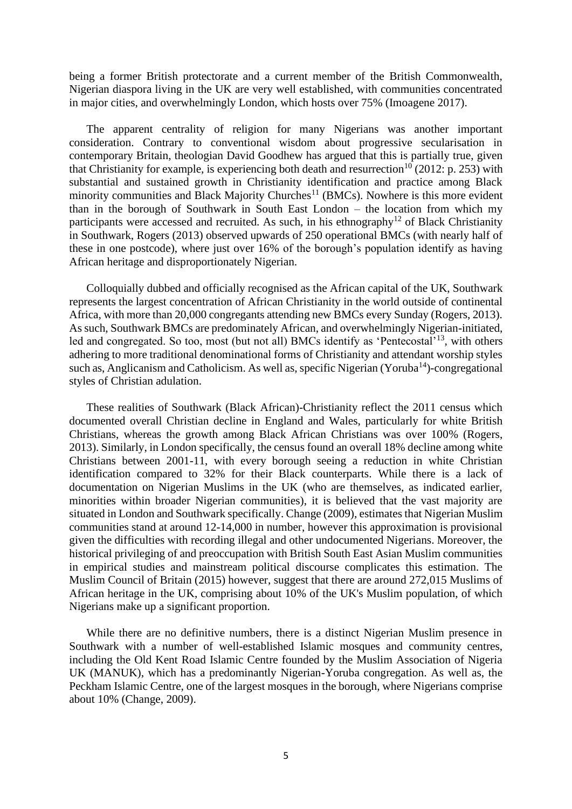being a former British protectorate and a current member of the British Commonwealth, Nigerian diaspora living in the UK are very well established, with communities concentrated in major cities, and overwhelmingly London, which hosts over 75% (Imoagene 2017).

The apparent centrality of religion for many Nigerians was another important consideration. Contrary to conventional wisdom about progressive secularisation in contemporary Britain, theologian David Goodhew has argued that this is partially true, given that Christianity for example, is experiencing both death and resurrection<sup>10</sup> (2012: p. 253) with substantial and sustained growth in Christianity identification and practice among Black minority communities and Black Majority Churches<sup>11</sup> (BMCs). Nowhere is this more evident than in the borough of Southwark in South East London – the location from which my participants were accessed and recruited. As such, in his ethnography<sup>12</sup> of Black Christianity in Southwark, Rogers (2013) observed upwards of 250 operational BMCs (with nearly half of these in one postcode), where just over 16% of the borough's population identify as having African heritage and disproportionately Nigerian.

Colloquially dubbed and officially recognised as the African capital of the UK, Southwark represents the largest concentration of African Christianity in the world outside of continental Africa, with more than 20,000 congregants attending new BMCs every Sunday (Rogers, 2013). As such, Southwark BMCs are predominately African, and overwhelmingly Nigerian-initiated, led and congregated. So too, most (but not all) BMCs identify as 'Pentecostal'<sup>13</sup>, with others adhering to more traditional denominational forms of Christianity and attendant worship styles such as, Anglicanism and Catholicism. As well as, specific Nigerian (Yoruba<sup>14</sup>)-congregational styles of Christian adulation.

These realities of Southwark (Black African)-Christianity reflect the 2011 census which documented overall Christian decline in England and Wales, particularly for white British Christians, whereas the growth among Black African Christians was over 100% (Rogers, 2013). Similarly, in London specifically, the census found an overall 18% decline among white Christians between 2001-11, with every borough seeing a reduction in white Christian identification compared to 32% for their Black counterparts. While there is a lack of documentation on Nigerian Muslims in the UK (who are themselves, as indicated earlier, minorities within broader Nigerian communities), it is believed that the vast majority are situated in London and Southwark specifically. Change (2009), estimates that Nigerian Muslim communities stand at around 12-14,000 in number, however this approximation is provisional given the difficulties with recording illegal and other undocumented Nigerians. Moreover, the historical privileging of and preoccupation with British South East Asian Muslim communities in empirical studies and mainstream political discourse complicates this estimation. The Muslim Council of Britain (2015) however, suggest that there are around 272,015 Muslims of African heritage in the UK, comprising about 10% of the UK's Muslim population, of which Nigerians make up a significant proportion.

While there are no definitive numbers, there is a distinct Nigerian Muslim presence in Southwark with a number of well-established Islamic mosques and community centres, including the Old Kent Road Islamic Centre founded by the Muslim Association of Nigeria UK (MANUK), which has a predominantly Nigerian-Yoruba congregation. As well as, the Peckham Islamic Centre, one of the largest mosques in the borough, where Nigerians comprise about 10% (Change, 2009).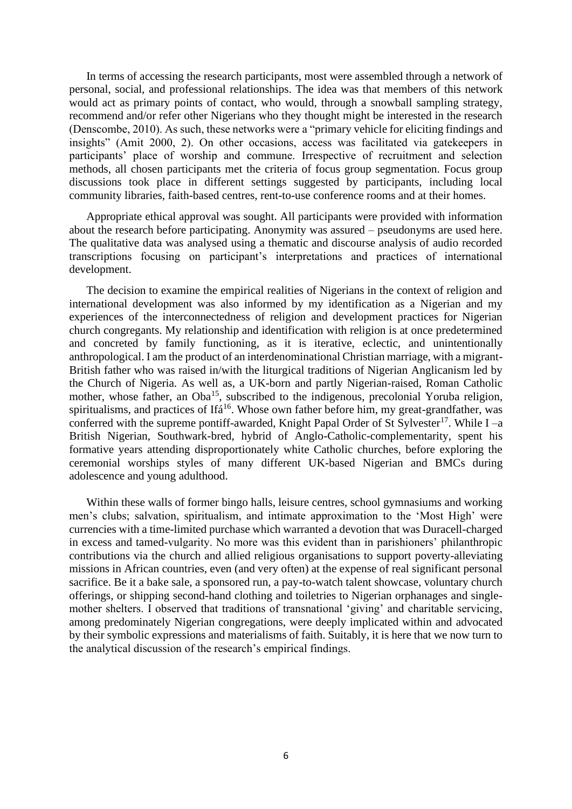In terms of accessing the research participants, most were assembled through a network of personal, social, and professional relationships. The idea was that members of this network would act as primary points of contact, who would, through a snowball sampling strategy, recommend and/or refer other Nigerians who they thought might be interested in the research (Denscombe, 2010). As such, these networks were a "primary vehicle for eliciting findings and insights" (Amit 2000, 2). On other occasions, access was facilitated via gatekeepers in participants' place of worship and commune. Irrespective of recruitment and selection methods, all chosen participants met the criteria of focus group segmentation. Focus group discussions took place in different settings suggested by participants, including local community libraries, faith-based centres, rent-to-use conference rooms and at their homes.

Appropriate ethical approval was sought. All participants were provided with information about the research before participating. Anonymity was assured – pseudonyms are used here. The qualitative data was analysed using a thematic and discourse analysis of audio recorded transcriptions focusing on participant's interpretations and practices of international development.

The decision to examine the empirical realities of Nigerians in the context of religion and international development was also informed by my identification as a Nigerian and my experiences of the interconnectedness of religion and development practices for Nigerian church congregants. My relationship and identification with religion is at once predetermined and concreted by family functioning, as it is iterative, eclectic, and unintentionally anthropological. I am the product of an interdenominational Christian marriage, with a migrant-British father who was raised in/with the liturgical traditions of Nigerian Anglicanism led by the Church of Nigeria. As well as, a UK-born and partly Nigerian-raised, Roman Catholic mother, whose father, an  $Oba^{15}$ , subscribed to the indigenous, precolonial Yoruba religion, spiritualisms, and practices of If $\acute{a}^{16}$ . Whose own father before him, my great-grandfather, was conferred with the supreme pontiff-awarded, Knight Papal Order of St Sylvester<sup>17</sup>. While I –a British Nigerian, Southwark-bred, hybrid of Anglo-Catholic-complementarity, spent his formative years attending disproportionately white Catholic churches, before exploring the ceremonial worships styles of many different UK-based Nigerian and BMCs during adolescence and young adulthood.

Within these walls of former bingo halls, leisure centres, school gymnasiums and working men's clubs; salvation, spiritualism, and intimate approximation to the 'Most High' were currencies with a time-limited purchase which warranted a devotion that was Duracell-charged in excess and tamed-vulgarity. No more was this evident than in parishioners' philanthropic contributions via the church and allied religious organisations to support poverty-alleviating missions in African countries, even (and very often) at the expense of real significant personal sacrifice. Be it a bake sale, a sponsored run, a pay-to-watch talent showcase, voluntary church offerings, or shipping second-hand clothing and toiletries to Nigerian orphanages and singlemother shelters. I observed that traditions of transnational 'giving' and charitable servicing, among predominately Nigerian congregations, were deeply implicated within and advocated by their symbolic expressions and materialisms of faith. Suitably, it is here that we now turn to the analytical discussion of the research's empirical findings.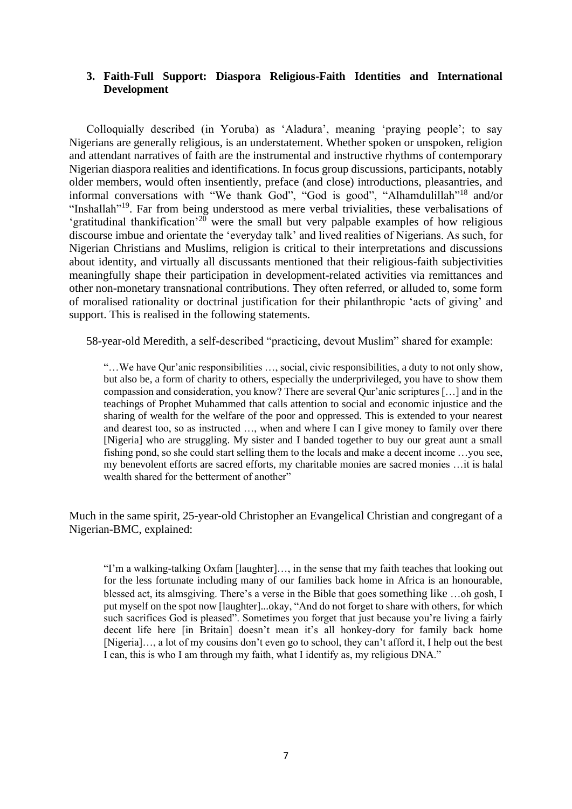### **3. Faith-Full Support: Diaspora Religious-Faith Identities and International Development**

Colloquially described (in Yoruba) as 'Aladura', meaning 'praying people'; to say Nigerians are generally religious, is an understatement. Whether spoken or unspoken, religion and attendant narratives of faith are the instrumental and instructive rhythms of contemporary Nigerian diaspora realities and identifications. In focus group discussions, participants, notably older members, would often insentiently, preface (and close) introductions, pleasantries, and informal conversations with "We thank God", "God is good", "Alhamdulillah"<sup>18</sup> and/or "Inshallah"<sup>19</sup>. Far from being understood as mere verbal trivialities, these verbalisations of 'gratitudinal thankification'<sup>20</sup> were the small but very palpable examples of how religious discourse imbue and orientate the 'everyday talk' and lived realities of Nigerians. As such, for Nigerian Christians and Muslims, religion is critical to their interpretations and discussions about identity, and virtually all discussants mentioned that their religious-faith subjectivities meaningfully shape their participation in development-related activities via remittances and other non-monetary transnational contributions. They often referred, or alluded to, some form of moralised rationality or doctrinal justification for their philanthropic 'acts of giving' and support. This is realised in the following statements.

58-year-old Meredith, a self-described "practicing, devout Muslim" shared for example:

"…We have Qur'anic responsibilities …, social, civic responsibilities, a duty to not only show, but also be, a form of charity to others, especially the underprivileged, you have to show them compassion and consideration, you know? There are several Qur'anic scriptures […] and in the teachings of Prophet Muhammed that calls attention to social and economic injustice and the sharing of wealth for the welfare of the poor and oppressed. This is extended to your nearest and dearest too, so as instructed …, when and where I can I give money to family over there [Nigeria] who are struggling. My sister and I banded together to buy our great aunt a small fishing pond, so she could start selling them to the locals and make a decent income …you see, my benevolent efforts are sacred efforts, my charitable monies are sacred monies …it is halal wealth shared for the betterment of another"

Much in the same spirit, 25-year-old Christopher an Evangelical Christian and congregant of a Nigerian-BMC, explained:

"I'm a walking-talking Oxfam [laughter]…, in the sense that my faith teaches that looking out for the less fortunate including many of our families back home in Africa is an honourable, blessed act, its almsgiving. There's a verse in the Bible that goes something like …oh gosh, I put myself on the spot now [laughter]...okay, "And do not forget to share with others, for which such sacrifices God is pleased". Sometimes you forget that just because you're living a fairly decent life here [in Britain] doesn't mean it's all honkey-dory for family back home [Nigeria]…, a lot of my cousins don't even go to school, they can't afford it, I help out the best I can, this is who I am through my faith, what I identify as, my religious DNA."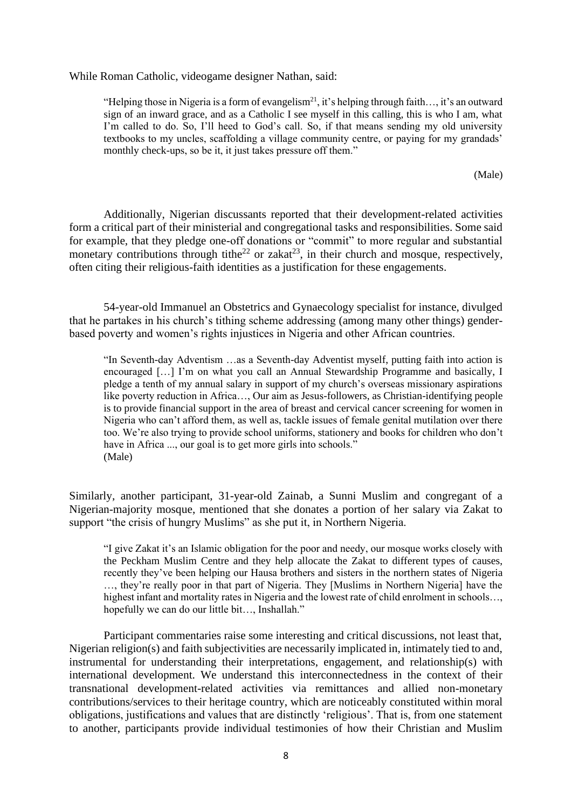While Roman Catholic, videogame designer Nathan, said:

"Helping those in Nigeria is a form of evangelism<sup>21</sup>, it's helping through faith..., it's an outward sign of an inward grace, and as a Catholic I see myself in this calling, this is who I am, what I'm called to do. So, I'll heed to God's call. So, if that means sending my old university textbooks to my uncles, scaffolding a village community centre, or paying for my grandads' monthly check-ups, so be it, it just takes pressure off them."

(Male)

Additionally, Nigerian discussants reported that their development-related activities form a critical part of their ministerial and congregational tasks and responsibilities. Some said for example, that they pledge one-off donations or "commit" to more regular and substantial monetary contributions through tithe<sup>22</sup> or zakat<sup>23</sup>, in their church and mosque, respectively, often citing their religious-faith identities as a justification for these engagements.

54-year-old Immanuel an Obstetrics and Gynaecology specialist for instance, divulged that he partakes in his church's tithing scheme addressing (among many other things) genderbased poverty and women's rights injustices in Nigeria and other African countries.

"In Seventh-day Adventism …as a Seventh-day Adventist myself, putting faith into action is encouraged […] I'm on what you call an Annual Stewardship Programme and basically, I pledge a tenth of my annual salary in support of my church's overseas missionary aspirations like poverty reduction in Africa…, Our aim as Jesus-followers, as Christian-identifying people is to provide financial support in the area of breast and cervical cancer screening for women in Nigeria who can't afford them, as well as, tackle issues of female genital mutilation over there too. We're also trying to provide school uniforms, stationery and books for children who don't have in Africa ..., our goal is to get more girls into schools." (Male)

Similarly, another participant, 31-year-old Zainab, a Sunni Muslim and congregant of a Nigerian-majority mosque, mentioned that she donates a portion of her salary via Zakat to support "the crisis of hungry Muslims" as she put it, in Northern Nigeria.

"I give Zakat it's an Islamic obligation for the poor and needy, our mosque works closely with the Peckham Muslim Centre and they help allocate the Zakat to different types of causes, recently they've been helping our Hausa brothers and sisters in the northern states of Nigeria …, they're really poor in that part of Nigeria. They [Muslims in Northern Nigeria] have the highest infant and mortality rates in Nigeria and the lowest rate of child enrolment in schools…, hopefully we can do our little bit..., Inshallah."

Participant commentaries raise some interesting and critical discussions, not least that, Nigerian religion(s) and faith subjectivities are necessarily implicated in, intimately tied to and, instrumental for understanding their interpretations, engagement, and relationship(s) with international development. We understand this interconnectedness in the context of their transnational development-related activities via remittances and allied non-monetary contributions/services to their heritage country, which are noticeably constituted within moral obligations, justifications and values that are distinctly 'religious'. That is, from one statement to another, participants provide individual testimonies of how their Christian and Muslim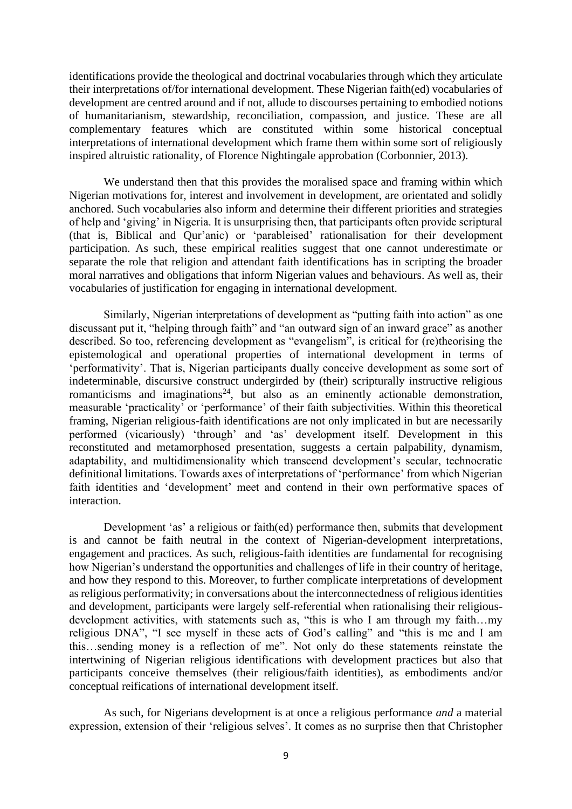identifications provide the theological and doctrinal vocabularies through which they articulate their interpretations of/for international development. These Nigerian faith(ed) vocabularies of development are centred around and if not, allude to discourses pertaining to embodied notions of humanitarianism, stewardship, reconciliation, compassion, and justice. These are all complementary features which are constituted within some historical conceptual interpretations of international development which frame them within some sort of religiously inspired altruistic rationality, of Florence Nightingale approbation (Corbonnier, 2013).

We understand then that this provides the moralised space and framing within which Nigerian motivations for, interest and involvement in development, are orientated and solidly anchored. Such vocabularies also inform and determine their different priorities and strategies of help and 'giving' in Nigeria. It is unsurprising then, that participants often provide scriptural (that is, Biblical and Qur'anic) or 'parableised' rationalisation for their development participation. As such, these empirical realities suggest that one cannot underestimate or separate the role that religion and attendant faith identifications has in scripting the broader moral narratives and obligations that inform Nigerian values and behaviours. As well as, their vocabularies of justification for engaging in international development.

Similarly, Nigerian interpretations of development as "putting faith into action" as one discussant put it, "helping through faith" and "an outward sign of an inward grace" as another described. So too, referencing development as "evangelism", is critical for (re)theorising the epistemological and operational properties of international development in terms of 'performativity'. That is, Nigerian participants dually conceive development as some sort of indeterminable, discursive construct undergirded by (their) scripturally instructive religious romanticisms and imaginations<sup>24</sup>, but also as an eminently actionable demonstration, measurable 'practicality' or 'performance' of their faith subjectivities. Within this theoretical framing, Nigerian religious-faith identifications are not only implicated in but are necessarily performed (vicariously) 'through' and 'as' development itself. Development in this reconstituted and metamorphosed presentation, suggests a certain palpability, dynamism, adaptability, and multidimensionality which transcend development's secular, technocratic definitional limitations. Towards axes of interpretations of 'performance' from which Nigerian faith identities and 'development' meet and contend in their own performative spaces of interaction.

Development 'as' a religious or faith(ed) performance then, submits that development is and cannot be faith neutral in the context of Nigerian-development interpretations, engagement and practices. As such, religious-faith identities are fundamental for recognising how Nigerian's understand the opportunities and challenges of life in their country of heritage, and how they respond to this. Moreover, to further complicate interpretations of development as religious performativity; in conversations about the interconnectedness of religious identities and development, participants were largely self-referential when rationalising their religiousdevelopment activities, with statements such as, "this is who I am through my faith…my religious DNA", "I see myself in these acts of God's calling" and "this is me and I am this…sending money is a reflection of me". Not only do these statements reinstate the intertwining of Nigerian religious identifications with development practices but also that participants conceive themselves (their religious/faith identities), as embodiments and/or conceptual reifications of international development itself.

As such, for Nigerians development is at once a religious performance *and* a material expression, extension of their 'religious selves'. It comes as no surprise then that Christopher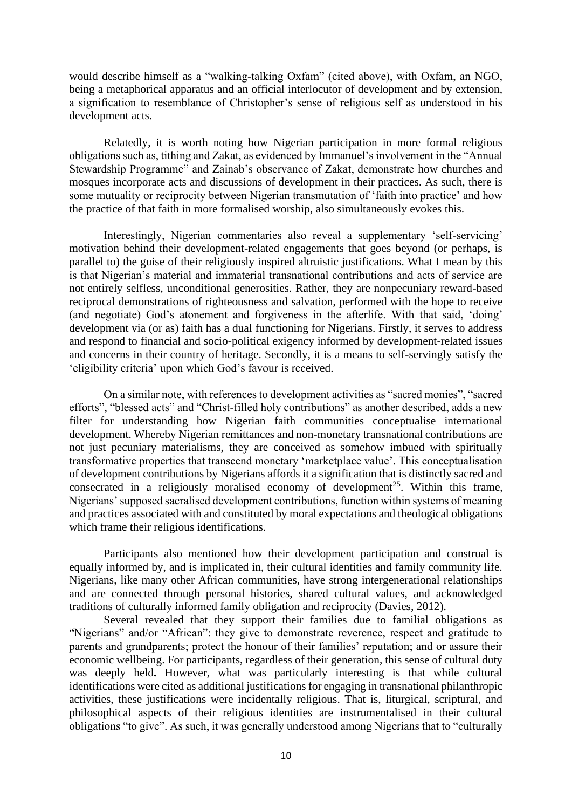would describe himself as a "walking-talking Oxfam" (cited above), with Oxfam, an NGO, being a metaphorical apparatus and an official interlocutor of development and by extension, a signification to resemblance of Christopher's sense of religious self as understood in his development acts.

Relatedly, it is worth noting how Nigerian participation in more formal religious obligations such as, tithing and Zakat, as evidenced by Immanuel's involvement in the "Annual Stewardship Programme" and Zainab's observance of Zakat, demonstrate how churches and mosques incorporate acts and discussions of development in their practices. As such, there is some mutuality or reciprocity between Nigerian transmutation of 'faith into practice' and how the practice of that faith in more formalised worship, also simultaneously evokes this.

Interestingly, Nigerian commentaries also reveal a supplementary 'self-servicing' motivation behind their development-related engagements that goes beyond (or perhaps, is parallel to) the guise of their religiously inspired altruistic justifications. What I mean by this is that Nigerian's material and immaterial transnational contributions and acts of service are not entirely selfless, unconditional generosities. Rather, they are nonpecuniary reward-based reciprocal demonstrations of righteousness and salvation, performed with the hope to receive (and negotiate) God's atonement and forgiveness in the afterlife. With that said, 'doing' development via (or as) faith has a dual functioning for Nigerians. Firstly, it serves to address and respond to financial and socio-political exigency informed by development-related issues and concerns in their country of heritage. Secondly, it is a means to self-servingly satisfy the 'eligibility criteria' upon which God's favour is received.

On a similar note, with references to development activities as "sacred monies", "sacred efforts", "blessed acts" and "Christ-filled holy contributions" as another described, adds a new filter for understanding how Nigerian faith communities conceptualise international development. Whereby Nigerian remittances and non-monetary transnational contributions are not just pecuniary materialisms, they are conceived as somehow imbued with spiritually transformative properties that transcend monetary 'marketplace value'. This conceptualisation of development contributions by Nigerians affords it a signification that is distinctly sacred and consecrated in a religiously moralised economy of development<sup>25</sup>. Within this frame, Nigerians' supposed sacralised development contributions, function within systems of meaning and practices associated with and constituted by moral expectations and theological obligations which frame their religious identifications.

Participants also mentioned how their development participation and construal is equally informed by, and is implicated in, their cultural identities and family community life. Nigerians, like many other African communities, have strong intergenerational relationships and are connected through personal histories, shared cultural values, and acknowledged traditions of culturally informed family obligation and reciprocity (Davies, 2012).

Several revealed that they support their families due to familial obligations as "Nigerians" and/or "African": they give to demonstrate reverence, respect and gratitude to parents and grandparents; protect the honour of their families' reputation; and or assure their economic wellbeing. For participants, regardless of their generation, this sense of cultural duty was deeply held**.** However, what was particularly interesting is that while cultural identifications were cited as additional justifications for engaging in transnational philanthropic activities, these justifications were incidentally religious. That is, liturgical, scriptural, and philosophical aspects of their religious identities are instrumentalised in their cultural obligations "to give". As such, it was generally understood among Nigerians that to "culturally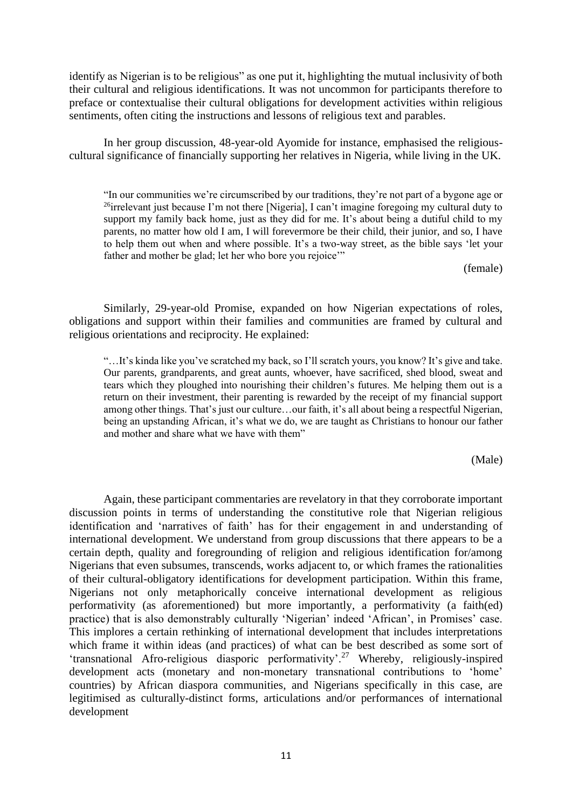identify as Nigerian is to be religious" as one put it, highlighting the mutual inclusivity of both their cultural and religious identifications. It was not uncommon for participants therefore to preface or contextualise their cultural obligations for development activities within religious sentiments, often citing the instructions and lessons of religious text and parables.

In her group discussion, 48-year-old Ayomide for instance, emphasised the religiouscultural significance of financially supporting her relatives in Nigeria, while living in the UK.

"In our communities we're circumscribed by our traditions, they're not part of a bygone age or <sup>26</sup>irrelevant just because I'm not there [Nigeria], I can't imagine foregoing my cultural duty to support my family back home, just as they did for me. It's about being a dutiful child to my parents, no matter how old I am, I will forevermore be their child, their junior, and so, I have to help them out when and where possible. It's a two-way street, as the bible says 'let your father and mother be glad; let her who bore you rejoice"

(female)

Similarly, 29-year-old Promise, expanded on how Nigerian expectations of roles, obligations and support within their families and communities are framed by cultural and religious orientations and reciprocity. He explained:

"…It's kinda like you've scratched my back, so I'll scratch yours, you know? It's give and take. Our parents, grandparents, and great aunts, whoever, have sacrificed, shed blood, sweat and tears which they ploughed into nourishing their children's futures. Me helping them out is a return on their investment, their parenting is rewarded by the receipt of my financial support among other things. That's just our culture…our faith, it's all about being a respectful Nigerian, being an upstanding African, it's what we do, we are taught as Christians to honour our father and mother and share what we have with them"

(Male)

Again, these participant commentaries are revelatory in that they corroborate important discussion points in terms of understanding the constitutive role that Nigerian religious identification and 'narratives of faith' has for their engagement in and understanding of international development. We understand from group discussions that there appears to be a certain depth, quality and foregrounding of religion and religious identification for/among Nigerians that even subsumes, transcends, works adjacent to, or which frames the rationalities of their cultural-obligatory identifications for development participation. Within this frame, Nigerians not only metaphorically conceive international development as religious performativity (as aforementioned) but more importantly, a performativity (a faith(ed) practice) that is also demonstrably culturally 'Nigerian' indeed 'African', in Promises' case. This implores a certain rethinking of international development that includes interpretations which frame it within ideas (and practices) of what can be best described as some sort of 'transnational Afro-religious diasporic performativity'.<sup>27</sup> Whereby, religiously-inspired development acts (monetary and non-monetary transnational contributions to 'home' countries) by African diaspora communities, and Nigerians specifically in this case, are legitimised as culturally-distinct forms, articulations and/or performances of international development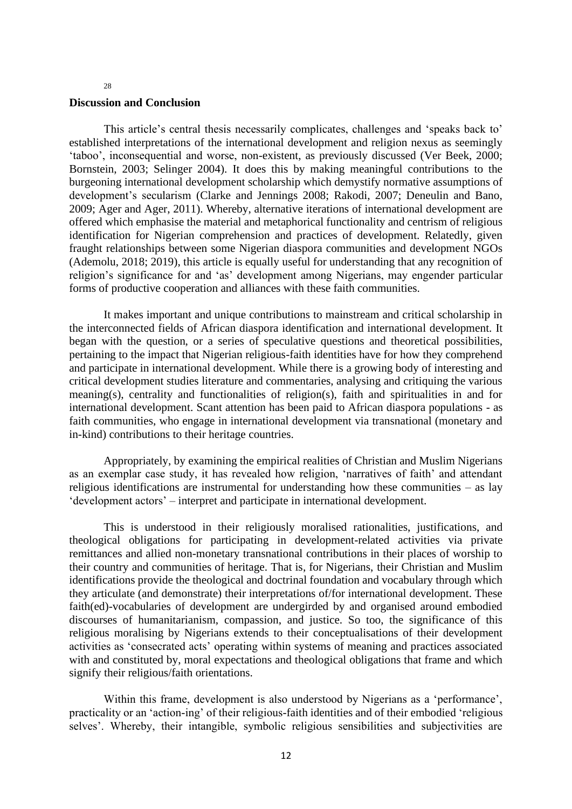#### 28

#### **Discussion and Conclusion**

This article's central thesis necessarily complicates, challenges and 'speaks back to' established interpretations of the international development and religion nexus as seemingly 'taboo', inconsequential and worse, non-existent, as previously discussed (Ver Beek, 2000; Bornstein, 2003; Selinger 2004). It does this by making meaningful contributions to the burgeoning international development scholarship which demystify normative assumptions of development's secularism (Clarke and Jennings 2008; Rakodi, 2007; Deneulin and Bano, 2009; Ager and Ager, 2011). Whereby, alternative iterations of international development are offered which emphasise the material and metaphorical functionality and centrism of religious identification for Nigerian comprehension and practices of development. Relatedly, given fraught relationships between some Nigerian diaspora communities and development NGOs (Ademolu, 2018; 2019), this article is equally useful for understanding that any recognition of religion's significance for and 'as' development among Nigerians, may engender particular forms of productive cooperation and alliances with these faith communities.

It makes important and unique contributions to mainstream and critical scholarship in the interconnected fields of African diaspora identification and international development. It began with the question, or a series of speculative questions and theoretical possibilities, pertaining to the impact that Nigerian religious-faith identities have for how they comprehend and participate in international development. While there is a growing body of interesting and critical development studies literature and commentaries, analysing and critiquing the various meaning(s), centrality and functionalities of religion(s), faith and spiritualities in and for international development. Scant attention has been paid to African diaspora populations - as faith communities, who engage in international development via transnational (monetary and in-kind) contributions to their heritage countries.

Appropriately, by examining the empirical realities of Christian and Muslim Nigerians as an exemplar case study, it has revealed how religion, 'narratives of faith' and attendant religious identifications are instrumental for understanding how these communities – as lay 'development actors' – interpret and participate in international development.

This is understood in their religiously moralised rationalities, justifications, and theological obligations for participating in development-related activities via private remittances and allied non-monetary transnational contributions in their places of worship to their country and communities of heritage. That is, for Nigerians, their Christian and Muslim identifications provide the theological and doctrinal foundation and vocabulary through which they articulate (and demonstrate) their interpretations of/for international development. These faith(ed)-vocabularies of development are undergirded by and organised around embodied discourses of humanitarianism, compassion, and justice. So too, the significance of this religious moralising by Nigerians extends to their conceptualisations of their development activities as 'consecrated acts' operating within systems of meaning and practices associated with and constituted by, moral expectations and theological obligations that frame and which signify their religious/faith orientations.

Within this frame, development is also understood by Nigerians as a 'performance', practicality or an 'action-ing' of their religious-faith identities and of their embodied 'religious selves'. Whereby, their intangible, symbolic religious sensibilities and subjectivities are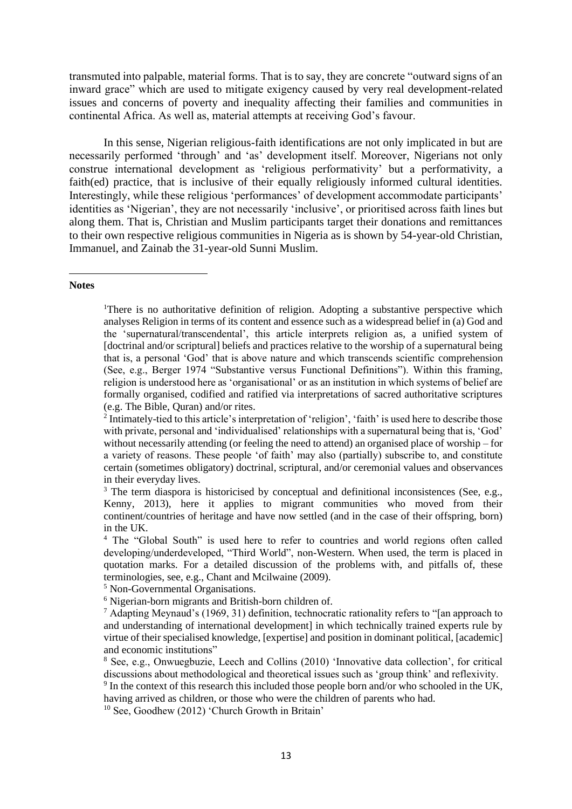transmuted into palpable, material forms. That is to say, they are concrete "outward signs of an inward grace" which are used to mitigate exigency caused by very real development-related issues and concerns of poverty and inequality affecting their families and communities in continental Africa. As well as, material attempts at receiving God's favour.

In this sense, Nigerian religious-faith identifications are not only implicated in but are necessarily performed 'through' and 'as' development itself. Moreover, Nigerians not only construe international development as 'religious performativity' but a performativity, a faith(ed) practice, that is inclusive of their equally religiously informed cultural identities. Interestingly, while these religious 'performances' of development accommodate participants' identities as 'Nigerian', they are not necessarily 'inclusive', or prioritised across faith lines but along them. That is, Christian and Muslim participants target their donations and remittances to their own respective religious communities in Nigeria as is shown by 54-year-old Christian, Immanuel, and Zainab the 31-year-old Sunni Muslim.

#### **Notes**

<sup>1</sup>There is no authoritative definition of religion. Adopting a substantive perspective which analyses Religion in terms of its content and essence such as a widespread belief in (a) God and the 'supernatural/transcendental', this article interprets religion as, a unified system of [doctrinal and/or scriptural] beliefs and practices relative to the worship of a supernatural being that is, a personal 'God' that is above nature and which transcends scientific comprehension (See, e.g., Berger 1974 "Substantive versus Functional Definitions"). Within this framing, religion is understood here as 'organisational' or as an institution in which systems of belief are formally organised, codified and ratified via interpretations of sacred authoritative scriptures (e.g. The Bible, Quran) and/or rites.

<sup>2</sup> Intimately-tied to this article's interpretation of 'religion', 'faith' is used here to describe those with private, personal and 'individualised' relationships with a supernatural being that is, 'God' without necessarily attending (or feeling the need to attend) an organised place of worship – for a variety of reasons. These people 'of faith' may also (partially) subscribe to, and constitute certain (sometimes obligatory) doctrinal, scriptural, and/or ceremonial values and observances in their everyday lives.

<sup>3</sup> The term diaspora is historicised by conceptual and definitional inconsistences (See, e.g., Kenny, 2013), here it applies to migrant communities who moved from their continent/countries of heritage and have now settled (and in the case of their offspring, born) in the UK.

<sup>4</sup> The "Global South" is used here to refer to countries and world regions often called developing/underdeveloped, "Third World", non-Western. When used, the term is placed in quotation marks. For a detailed discussion of the problems with, and pitfalls of, these terminologies, see, e.g., Chant and Mcilwaine (2009).

<sup>5</sup> Non-Governmental Organisations.

<sup>6</sup> Nigerian-born migrants and British-born children of.

 $<sup>7</sup>$  Adapting Meynaud's (1969, 31) definition, technocratic rationality refers to "[an approach to</sup> and understanding of international development] in which technically trained experts rule by virtue of their specialised knowledge, [expertise] and position in dominant political, [academic] and economic institutions"

having arrived as children, or those who were the children of parents who had.

 $10$  See, Goodhew (2012) 'Church Growth in Britain'

<sup>8</sup> See, e.g., Onwuegbuzie, Leech and Collins (2010) 'Innovative data collection', for critical discussions about methodological and theoretical issues such as 'group think' and reflexivity. <sup>9</sup> In the context of this research this included those people born and/or who schooled in the UK,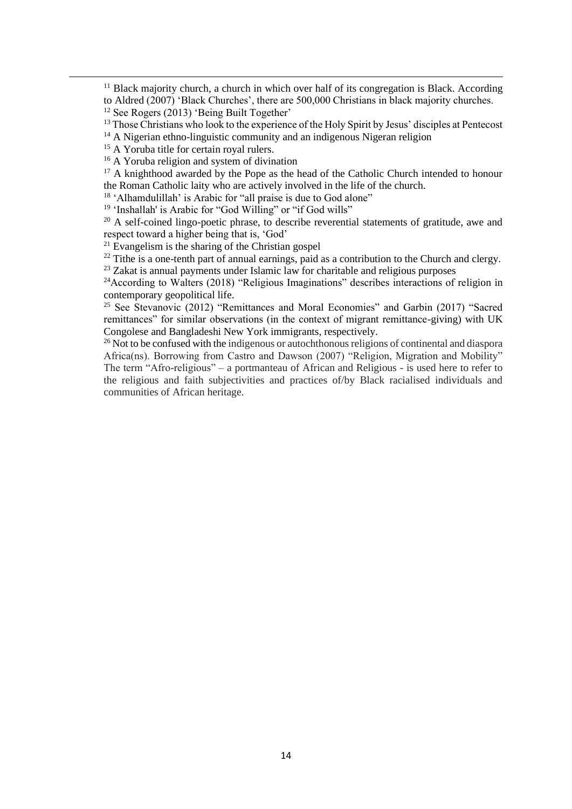$<sup>11</sup>$  Black majority church, a church in which over half of its congregation is Black. According</sup> to Aldred (2007) 'Black Churches', there are 500,000 Christians in black majority churches.

<sup>13</sup> Those Christians who look to the experience of the Holy Spirit by Jesus' disciples at Pentecost

<sup>14</sup> A Nigerian ethno-linguistic community and an indigenous Nigeran religion

<sup>15</sup> A Yoruba title for certain royal rulers.

<sup>16</sup> A Yoruba religion and system of divination

<sup>17</sup> A knighthood awarded by the Pope as the head of the Catholic Church intended to honour the Roman Catholic laity who are actively involved in the life of the church.

<sup>18</sup> 'Alhamdulillah' is Arabic for "all praise is due to God alone"

<sup>19</sup> 'Inshallah' is Arabic for "God Willing" or "if God wills"

<sup>20</sup> A self-coined lingo-poetic phrase, to describe reverential statements of gratitude, awe and respect toward a higher being that is, 'God'

 $21$  Evangelism is the sharing of the Christian gospel

 $22$  Tithe is a one-tenth part of annual earnings, paid as a contribution to the Church and clergy.

 $23$  Zakat is annual payments under Islamic law for charitable and religious purposes

<sup>24</sup> According to Walters (2018) "Religious Imaginations" describes interactions of religion in contemporary geopolitical life.

<sup>25</sup> See Stevanovic (2012) "Remittances and Moral Economies" and Garbin (2017) "Sacred remittances" for similar observations (in the context of migrant remittance-giving) with UK Congolese and Bangladeshi New York immigrants, respectively.

<sup>26</sup> Not to be confused with the indigenous or autochthonous religions of continental and diaspora Africa(ns). Borrowing from Castro and Dawson (2007) "Religion, Migration and Mobility" The term "Afro-religious" – a portmanteau of African and Religious - is used here to refer to the religious and faith subjectivities and practices of/by Black racialised individuals and communities of African heritage.

 $12$  See Rogers (2013) 'Being Built Together'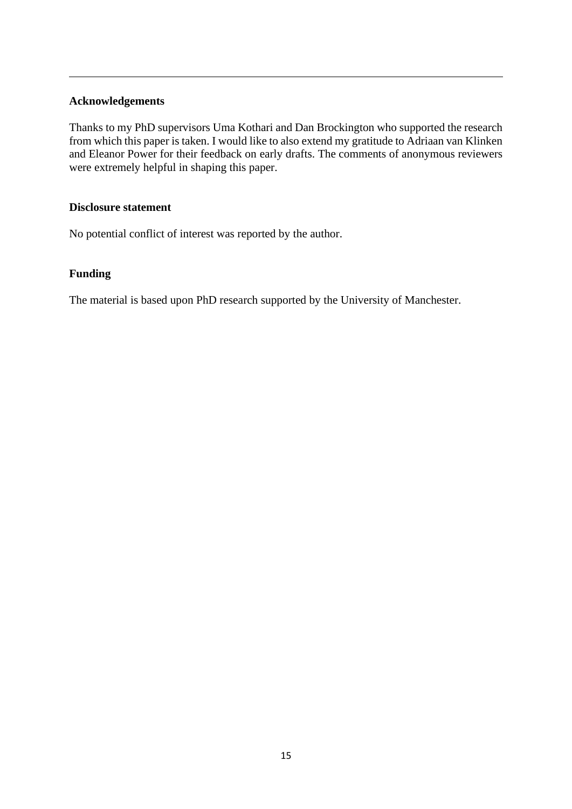# **Acknowledgements**

Thanks to my PhD supervisors Uma Kothari and Dan Brockington who supported the research from which this paper is taken. I would like to also extend my gratitude to Adriaan van Klinken and Eleanor Power for their feedback on early drafts. The comments of anonymous reviewers were extremely helpful in shaping this paper.

### **Disclosure statement**

No potential conflict of interest was reported by the author.

# **Funding**

The material is based upon PhD research supported by the University of Manchester.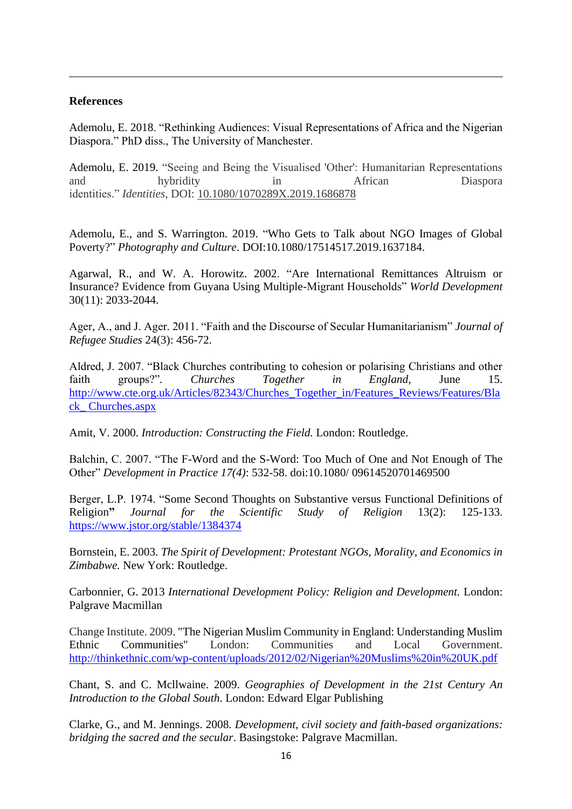## **References**

Ademolu, E. 2018. "Rethinking Audiences: Visual Representations of Africa and the Nigerian Diaspora." PhD diss., The University of Manchester.

Ademolu, E. 2019. "Seeing and Being the Visualised 'Other': Humanitarian Representations and hybridity in African Diaspora identities." *Identities*, DOI: [10.1080/1070289X.2019.1686878](https://doi.org/10.1080/1070289X.2019.1686878)

Ademolu, E., and S. Warrington. 2019. "Who Gets to Talk about NGO Images of Global Poverty?" *Photography and Culture*. DOI:10.1080/17514517.2019.1637184.

Agarwal, R., and W. A. Horowitz. 2002. "Are International Remittances Altruism or Insurance? Evidence from Guyana Using Multiple-Migrant Households" *World Development*  30(11): 2033-2044.

Ager, A., and J. Ager. 2011. "Faith and the Discourse of Secular Humanitarianism" *Journal of Refugee Studies* 24(3): 456-72.

Aldred, J. 2007. "Black Churches contributing to cohesion or polarising Christians and other faith groups?"*. Churches Together in England,* June 15. [http://www.cte.org.uk/Articles/82343/Churches\\_Together\\_in/Features\\_Reviews/Features/Bla](http://www.cte.org.uk/Articles/82343/Churches_Together_in/Features_Reviews/Features/Black_%20Churches.aspx) [ck\\_ Churches.aspx](http://www.cte.org.uk/Articles/82343/Churches_Together_in/Features_Reviews/Features/Black_%20Churches.aspx)

Amit, V. 2000. *Introduction: Constructing the Field.* London: Routledge.

Balchin, C. 2007. "The F-Word and the S-Word: Too Much of One and Not Enough of The Other" *Development in Practice 17(4)*: 532-58. doi:10.1080/ 09614520701469500

Berger, L.P. 1974. "Some Second Thoughts on Substantive versus Functional Definitions of Religion**"** *Journal for the Scientific Study of Religion* 13(2): 125-133. <https://www.jstor.org/stable/1384374>

Bornstein, E. 2003. *The Spirit of Development: Protestant NGOs, Morality, and Economics in Zimbabwe.* New York: Routledge.

Carbonnier, G. 2013 *International Development Policy: Religion and Development.* London: Palgrave Macmillan

Change Institute. 2009. "The Nigerian Muslim Community in England: Understanding Muslim Ethnic Communities" London: Communities and Local Government. <http://thinkethnic.com/wp-content/uploads/2012/02/Nigerian%20Muslims%20in%20UK.pdf>

Chant, S. and C. Mcllwaine. 2009. *Geographies of Development in the 21st Century An Introduction to the Global South*. London: Edward Elgar Publishing

Clarke, G., and M. Jennings. 2008. *Development, civil society and faith-based organizations: bridging the sacred and the secular*. Basingstoke: Palgrave Macmillan.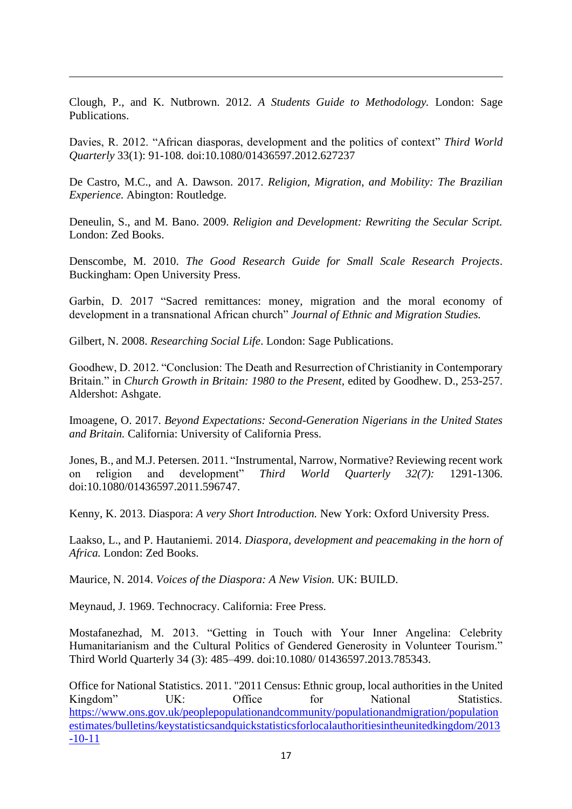Clough, P., and K. Nutbrown. 2012. *A Students Guide to Methodology.* London: Sage Publications.

Davies, R. 2012. "African diasporas, development and the politics of context" *Third World Quarterly* 33(1): 91-108. doi:10.1080/01436597.2012.627237

De Castro, M.C., and A. Dawson. 2017. *Religion, Migration, and Mobility: The Brazilian Experience.* Abington: Routledge.

Deneulin, S., and M. Bano. 2009. *Religion and Development: Rewriting the Secular Script.*  London: Zed Books.

Denscombe, M. 2010. *The Good Research Guide for Small Scale Research Projects*. Buckingham: Open University Press.

Garbin, D. 2017 "Sacred remittances: money, migration and the moral economy of development in a transnational African church" *Journal of Ethnic and Migration Studies.*

Gilbert, N. 2008. *Researching Social Life*. London: Sage Publications.

Goodhew, D. 2012. "Conclusion: The Death and Resurrection of Christianity in Contemporary Britain." in *Church Growth in Britain: 1980 to the Present,* edited by Goodhew. D., 253-257. Aldershot: Ashgate.

Imoagene, O. 2017. *Beyond Expectations: Second-Generation Nigerians in the United States and Britain.* California: University of California Press.

Jones, B., and M.J. Petersen. 2011. "Instrumental, Narrow, Normative? Reviewing recent work on religion and development" *Third World Quarterly 32(7):* 1291-1306. doi:10.1080/01436597.2011.596747.

Kenny, K. 2013. Diaspora: *A very Short Introduction.* New York: Oxford University Press.

Laakso, L., and P. Hautaniemi. 2014. *Diaspora, development and peacemaking in the horn of Africa.* London: Zed Books.

Maurice, N. 2014. *Voices of the Diaspora: A New Vision.* UK: BUILD.

Meynaud, J. 1969. Technocracy. California: Free Press.

Mostafanezhad, M. 2013. "Getting in Touch with Your Inner Angelina: Celebrity Humanitarianism and the Cultural Politics of Gendered Generosity in Volunteer Tourism." Third World Quarterly 34 (3): 485–499. doi:10.1080/ 01436597.2013.785343.

Office for National Statistics. 2011. "2011 Census: Ethnic group, local authorities in the United Kingdom" UK: Office for National Statistics. [https://www.ons.gov.uk/peoplepopulationandcommunity/populationandmigration/population](https://www.ons.gov.uk/peoplepopulationandcommunity/populationandmigration/populationestimates/bulletins/keystatisticsandquickstatisticsforlocalauthoritiesintheunitedkingdom/2013-10-11) [estimates/bulletins/keystatisticsandquickstatisticsforlocalauthoritiesintheunitedkingdom/2013](https://www.ons.gov.uk/peoplepopulationandcommunity/populationandmigration/populationestimates/bulletins/keystatisticsandquickstatisticsforlocalauthoritiesintheunitedkingdom/2013-10-11) [-10-11](https://www.ons.gov.uk/peoplepopulationandcommunity/populationandmigration/populationestimates/bulletins/keystatisticsandquickstatisticsforlocalauthoritiesintheunitedkingdom/2013-10-11)